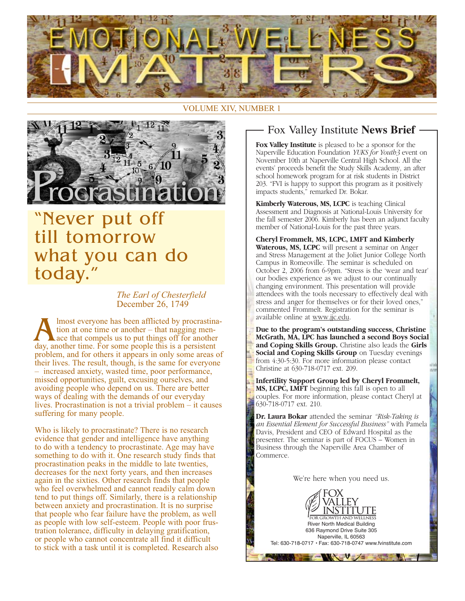

#### **VOLUME XIV, NUMBER 1**



# "Never put off till tomorrow what you can do today."

The Earl of Chesterfield December 26, 1749

lmost everyone has been afflicted by procrastination at one time or another – that nagging men- $\textcolor{red}{\text{L}$  ace that compels us to put things off for another day, another time. For some people this is a persistent problem, and for others it appears in only some areas of their lives. The result, though, is the same for everyone - increased anxiety, wasted time, poor performance, missed opportunities, guilt, excusing ourselves, and avoiding people who depend on us. There are better ways of dealing with the demands of our everyday lives. Procrastination is not a trivial problem  $-$  it causes suffering for many people.

Who is likely to procrastinate? There is no research evidence that gender and intelligence have anything to do with a tendency to procrastinate. Age may have something to do with it. One research study finds that procrastination peaks in the middle to late twenties, decreases for the next forty years, and then increases again in the sixties. Other research finds that people who feel overwhelmed and cannot readily calm down tend to put things off. Similarly, there is a relationship between anxiety and procrastination. It is no surprise that people who fear failure have the problem, as well as people with low self-esteem. People with poor frustration tolerance, difficulty in delaying gratification, or people who cannot concentrate all find it difficult to stick with a task until it is completed. Research also

### Fox Valley Institute News Brief

Fox Valley Institute is pleased to be a sponsor for the Naperville Education Foundation YUKS for Youth3 event on November 10th at Naperville Central High School. All the events' proceeds benefit the Study Skills Academy, an after school homework program for at risk students in District 203. "FVI is happy to support this program as it positively impacts students," remarked Dr. Bokar.

Kimberly Waterous, MS, LCPC is teaching Clinical Assessment and Diagnosis at National-Louis University for the fall semester 2006. Kimberly has been an adjunct faculty member of National-Louis for the past three years.

Cheryl Frommelt, MS, LCPC, LMFT and Kimberly Waterous, MS, LCPC will present a seminar on Anger and Stress Management at the Joliet Junior College North Campus in Romeoville. The seminar is scheduled on October 2, 2006 from 6-9pm. "Stress is the 'wear and tear' our bodies experience as we adjust to our continually changing environment. This presentation will provide attendees with the tools necessary to effectively deal with stress and anger for themselves or for their loved ones," commented Frommelt. Registration for the seminar is available online at www.jjc.edu.

Due to the program's outstanding success, Christine McGrath, MA, LPC has launched a second Boys Social and Coping Skills Group. Christine also leads the Girls Social and Coping Skills Group on Tuesday evenings from 4:30-5:30. For more information please contact Christine at 630-718-0717 ext. 209.

Infertility Support Group led by Cheryl Frommelt, MS, LCPC, LMFT beginning this fall is open to all couples. For more information, please contact Cheryl at 630-718-0717 ext. 210.

Dr. Laura Bokar attended the seminar "Risk-Taking is an Essential Element for Successful Business" with Pamela Davis, President and CEO of Edward Hospital as the presenter. The seminar is part of FOCUS – Women in Business through the Naperville Area Chamber of Commerce.

We're here when you need us.

INSTIT

**River North Medical Building** 

636 Raymond Drive Suite 305 Naperville, IL 60563

· Fax: 630-718-0747 www.fvinstitute.com

Tel: 630-718-0717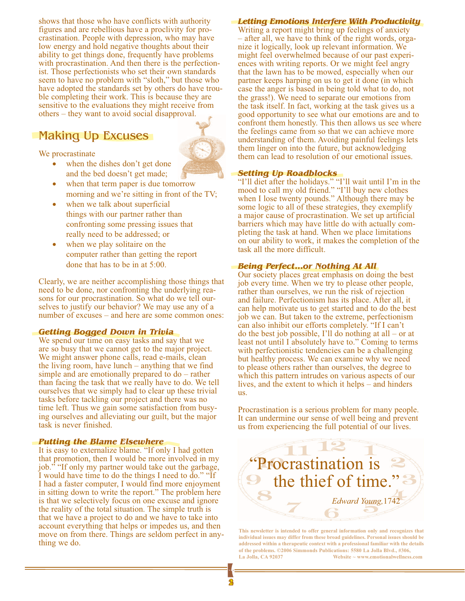shows that those who have conflicts with authority figures and are rebellious have a proclivity for procrastination. People with depression, who may have low energy and hold negative thoughts about their ability to get things done, frequently have problems with procrastination. And then there is the perfectionist. Those perfectionists who set their own standards seem to have no problem with "sloth," but those who have adopted the standards set by others do have trouble completing their work. This is because they are sensitive to the evaluations they might receive from others – they want to avoid social disapproval.

## **Making Up Excuses**

We procrastinate

- when the dishes don't get done and the bed doesn't get made;
- when that term paper is due tomorrow morning and we're sitting in front of the TV;
- when we talk about superficial things with our partner rather than confronting some pressing issues that really need to be addressed; or
- when we play solitaire on the computer rather than getting the report done that has to be in at 5:00.

Clearly, we are neither accomplishing those things that need to be done, nor confronting the underlying reasons for our procrastination. So what do we tell ourselves to justify our behavior? We may use any of a number of excuses – and here are some common ones:

#### **Getting Bogged Down in Trivia**

We spend our time on easy tasks and say that we are so busy that we cannot get to the major project. We might answer phone calls, read e-mails, clean the living room, have lunch  $-$  anything that we find simple and are emotionally prepared to  $do$  – rather than facing the task that we really have to do. We tell ourselves that we simply had to clear up these trivial tasks before tackling our project and there was no time left. Thus we gain some satisfaction from busying ourselves and alleviating our guilt, but the major task is never finished.

#### **Putting the Blame Elsewhere**

It is easy to externalize blame. "If only I had gotten that promotion, then I would be more involved in my job." "If only my partner would take out the garbage, I would have time to do the things I need to do." "If I had a faster computer, I would find more enjoyment in sitting down to write the report." The problem here is that we selectively focus on one excuse and ignore the reality of the total situation. The simple truth is that we have a project to do and we have to take into account everything that helps or impedes us, and then move on from there. Things are seldom perfect in anything we do.

#### **Letting Emotions Interfere With Productivity**

Writing a report might bring up feelings of anxiety - after all, we have to think of the right words, organize it logically, look up relevant information. We might feel overwhelmed because of our past experiences with writing reports. Or we might feel angry that the lawn has to be mowed, especially when our partner keeps harping on us to get it done (in which case the anger is based in being told what to do, not the grass!). We need to separate our emotions from the task itself. In fact, working at the task gives us a good opportunity to see what our emotions are and to confront them honestly. This then allows us see where the feelings came from so that we can achieve more understanding of them. Avoiding painful feelings lets them linger on into the future, but acknowledging them can lead to resolution of our emotional issues.

#### **Setting Up Roadblocks**

"I'll diet after the holidays." "I'll wait until I'm in the mood to call my old friend." "I'll buy new clothes when I lose twenty pounds." Although there may be some logic to all of these strategies, they exemplify a major cause of procrastination. We set up artificial barriers which may have little do with actually completing the task at hand. When we place limitations on our ability to work, it makes the completion of the task all the more difficult.

#### **Being Perfect...or Nothing At All**

Our society places great emphasis on doing the best job every time. When we try to please other people, rather than ourselves, we run the risk of rejection and failure. Perfectionism has its place. After all, it can help motivate us to get started and to do the best job we can. But taken to the extreme, perfectionism can also inhibit our efforts completely. "If I can't do the best job possible, I'll do nothing at all – or at least not until I absolutely have to." Coming to terms with perfectionistic tendencies can be a challenging but healthy process. We can examine why we need to please others rather than ourselves, the degree to which this pattern intrudes on various aspects of our lives, and the extent to which it helps  $-$  and hinders us.

Procrastination is a serious problem for many people. It can undermine our sense of well being and prevent us from experiencing the full potential of our lives.



This newsletter is intended to offer general information only and recognizes that individual issues may differ from these broad guidelines. Personal issues should be addressed within a therapeutic context with a professional familiar with the details of the problems. ©2006 Simmonds Publications: 5580 La Jolla Blvd., #306, La Jolla, CA 92037 Website  $\sim$  www.emotionalwellness.com

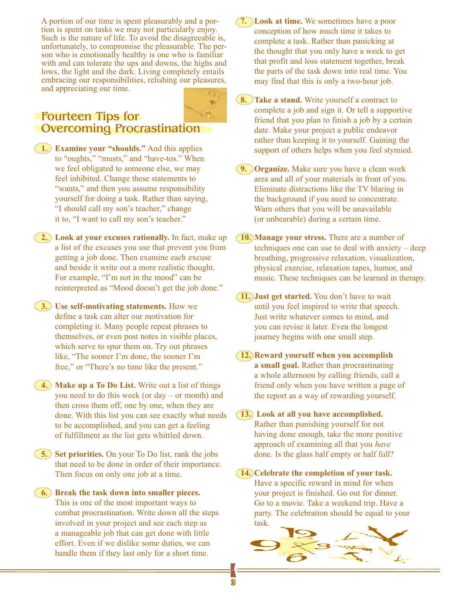A portion of our time is spent pleasurably and a portion is spent on tasks we may not particularly enjoy. Such is the nature of life. To avoid the disagreeable is, unfortunately, to compromise the pleasurable. The person who is emotionally healthy is one who is familiar with and can tolerate the ups and downs, the highs and lows, the light and the dark. Living completely entails embracing our responsibilities, relishing our pleasures, and appreciating our time.

### **Fourteen Tips for Overcoming Procrastination**

- (1.) Examine your "shoulds." And this applies to "oughts," "musts," and "have-tos." When we feel obligated to someone else, we may feel inhibited. Change these statements to "wants," and then you assume responsibility yourself for doing a task. Rather than saying, "I should call my son's teacher," change it to, "I want to call my son's teacher."
- (2.) Look at your excuses rationally. In fact, make up a list of the excuses you use that prevent you from getting a job done. Then examine each excuse and beside it write out a more realistic thought. For example, "I'm not in the mood" can be reinterpreted as "Mood doesn't get the job done."
- (3.) Use self-motivating statements. How we define a task can alter our motivation for completing it. Many people repeat phrases to themselves, or even post notes in visible places, which serve to spur them on. Try out phrases like, "The sooner I'm done, the sooner I'm free," or "There's no time like the present."
- $(4)$  Make up a To Do List. Write out a list of things you need to do this week (or  $day - or$  month) and then cross them off, one by one, when they are done. With this list you can see exactly what needs to be accomplished, and you can get a feeling of fulfillment as the list gets whittled down.
- (5.) Set priorities. On your To Do list, rank the jobs that need to be done in order of their importance. Then focus on only one job at a time.
- (6.) Break the task down into smaller pieces. This is one of the most important ways to combat procrastination. Write down all the steps involved in your project and see each step as a manageable job that can get done with little effort. Even if we dislike some duties, we can handle them if they last only for a short time.
- 7. Look at time. We sometimes have a poor conception of how much time it takes to complete a task. Rather than panicking at the thought that you only have a week to get that profit and loss statement together, break the parts of the task down into real time. You may find that this is only a two-hour job.
- **(8. ) Take a stand.** Write yourself a contract to complete a job and sign it. Or tell a supportive friend that you plan to finish a job by a certain date. Make your project a public endeavor rather than keeping it to yourself. Gaining the support of others helps when you feel stymied.
- **9. Organize.** Make sure you have a clean work area and all of your materials in front of you. Eliminate distractions like the TV blaring in the background if you need to concentrate. Warn others that you will be unavailable (or unbearable) during a certain time.
- **10.** Manage your stress. There are a number of techniques one can use to deal with anxiety  $-\text{deep}$ breathing, progressive relaxation, visualization, physical exercise, relaxation tapes, humor, and music. These techniques can be learned in therapy.
- (11.) Just get started. You don't have to wait until you feel inspired to write that speech. Just write whatever comes to mind, and you can revise it later. Even the longest journey begins with one small step.
- **12. Reward yourself when you accomplish** a small goal. Rather than procrastinating a whole afternoon by calling friends, call a friend only when you have written a page of the report as a way of rewarding yourself.
- 13. Look at all you have accomplished. Rather than punishing yourself for not having done enough, take the more positive approach of examining all that you have done. Is the glass half empty or half full?
- (14.) Celebrate the completion of your task. Have a specific reward in mind for when your project is finished. Go out for dinner. Go to a movie. Take a weekend trip. Have a party. The celebration should be equal to your task.